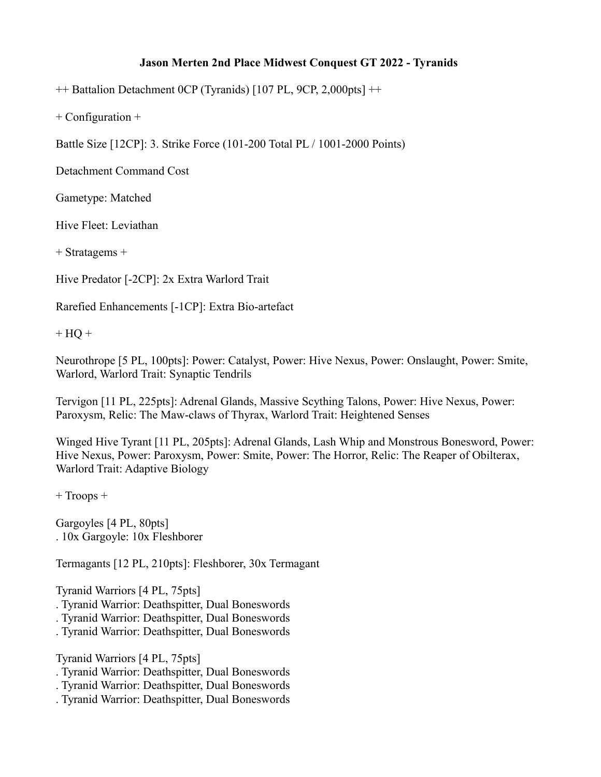## **Jason Merten 2nd Place Midwest Conquest GT 2022 - Tyranids**

++ Battalion Detachment 0CP (Tyranids) [107 PL, 9CP, 2,000pts] ++

+ Configuration +

Battle Size [12CP]: 3. Strike Force (101-200 Total PL / 1001-2000 Points)

Detachment Command Cost

Gametype: Matched

Hive Fleet: Leviathan

+ Stratagems +

Hive Predator [-2CP]: 2x Extra Warlord Trait

Rarefied Enhancements [-1CP]: Extra Bio-artefact

 $+$  HQ  $+$ 

Neurothrope [5 PL, 100pts]: Power: Catalyst, Power: Hive Nexus, Power: Onslaught, Power: Smite, Warlord, Warlord Trait: Synaptic Tendrils

Tervigon [11 PL, 225pts]: Adrenal Glands, Massive Scything Talons, Power: Hive Nexus, Power: Paroxysm, Relic: The Maw-claws of Thyrax, Warlord Trait: Heightened Senses

Winged Hive Tyrant [11 PL, 205pts]: Adrenal Glands, Lash Whip and Monstrous Bonesword, Power: Hive Nexus, Power: Paroxysm, Power: Smite, Power: The Horror, Relic: The Reaper of Obilterax, Warlord Trait: Adaptive Biology

+ Troops +

Gargoyles [4 PL, 80pts] . 10x Gargoyle: 10x Fleshborer

Termagants [12 PL, 210pts]: Fleshborer, 30x Termagant

Tyranid Warriors [4 PL, 75pts]

- . Tyranid Warrior: Deathspitter, Dual Boneswords
- . Tyranid Warrior: Deathspitter, Dual Boneswords
- . Tyranid Warrior: Deathspitter, Dual Boneswords

Tyranid Warriors [4 PL, 75pts]

- . Tyranid Warrior: Deathspitter, Dual Boneswords
- . Tyranid Warrior: Deathspitter, Dual Boneswords
- . Tyranid Warrior: Deathspitter, Dual Boneswords